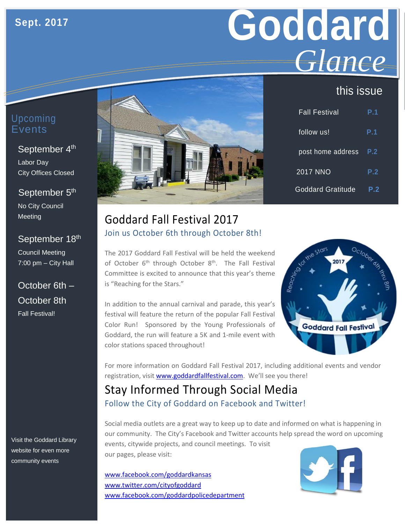# **Goddard** *Glance*

# this issue

| Upcoming |
|----------|
| Events   |

#### September 4<sup>th</sup>

Labor Day City Offices Closed

#### September 5<sup>th</sup>

No City Council Meeting

#### September 18th

Council Meeting 7:00 pm – City Hall

## October 6th – October 8th Fall Festival!

Visit the Goddard Library website for even more community events



| <b>Fall Festival</b>     | P.1 |
|--------------------------|-----|
| follow us!               | P.1 |
| post home address        | P.2 |
| <b>2017 NNO</b>          | P.2 |
| <b>Goddard Gratitude</b> | P.2 |

## Goddard Fall Festival 2017 Join us October 6th through October 8th!

The 2017 Goddard Fall Festival will be held the weekend of October  $6<sup>th</sup>$  through October  $8<sup>th</sup>$ . The Fall Festival Committee is excited to announce that this year's theme is "Reaching for the Stars."

In addition to the annual carnival and parade, this year's festival will feature the return of the popular Fall Festival Color Run! Sponsored by the Young Professionals of Goddard, the run will feature a 5K and 1-mile event with color stations spaced throughout!



For more information on Goddard Fall Festival 2017, including additional events and vendor registration, visit [www.goddardfallfestival.com.](http://www.goddardfallfestival.com/) We'll see you there!

# Stay Informed Through Social Media Follow the City of Goddard on Facebook and Twitter!

Social media outlets are a great way to keep up to date and informed on what is happening in our community. The City's Facebook and Twitter accounts help spread the word on upcoming events, citywide projects, and council meetings. To visit our pages, please visit:

[www.facebook.com/goddardkansas](http://www.facebook.com/goddardkansas) [www.twitter.com/cityofgoddard](http://www.twitter.com/cityofgoddard) www.facebook.com/goddardpolicedepartment